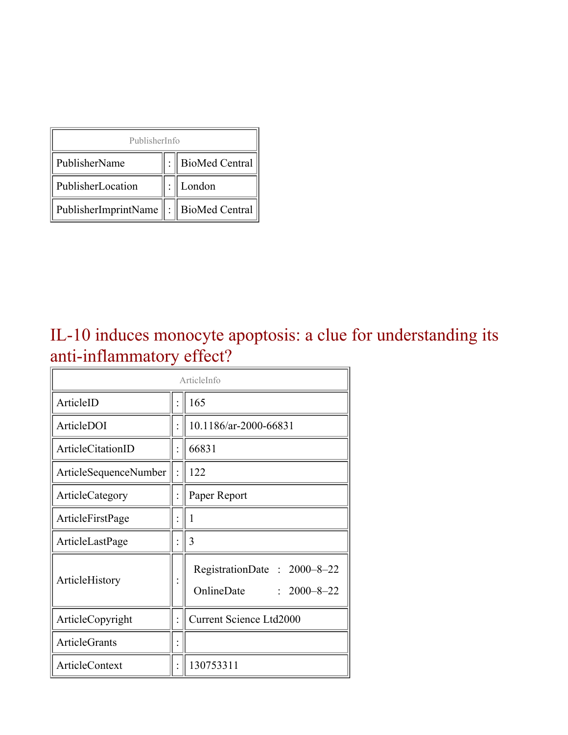| PublisherInfo                                   |  |                    |  |  |
|-------------------------------------------------|--|--------------------|--|--|
| PublisherName                                   |  | :   BioMed Central |  |  |
| PublisherLocation                               |  | London             |  |  |
| PublisherImprintName $\ \cdot\ $ BioMed Central |  |                    |  |  |

#### IL-10 induces monocyte apoptosis: a clue for understanding its anti-inflammatory effect?

| ArticleInfo           |  |                                                                |  |
|-----------------------|--|----------------------------------------------------------------|--|
| ArticleID             |  | 165                                                            |  |
| ArticleDOI            |  | 10.1186/ar-2000-66831                                          |  |
| ArticleCitationID     |  | 66831                                                          |  |
| ArticleSequenceNumber |  | 122                                                            |  |
| ArticleCategory       |  | Paper Report                                                   |  |
| ArticleFirstPage      |  | 1                                                              |  |
| ArticleLastPage       |  | 3                                                              |  |
| ArticleHistory        |  | RegistrationDate: 2000-8-22<br>OnlineDate<br>$: 2000 - 8 - 22$ |  |
| ArticleCopyright      |  | <b>Current Science Ltd2000</b>                                 |  |
| <b>ArticleGrants</b>  |  |                                                                |  |
| <b>ArticleContext</b> |  | 130753311                                                      |  |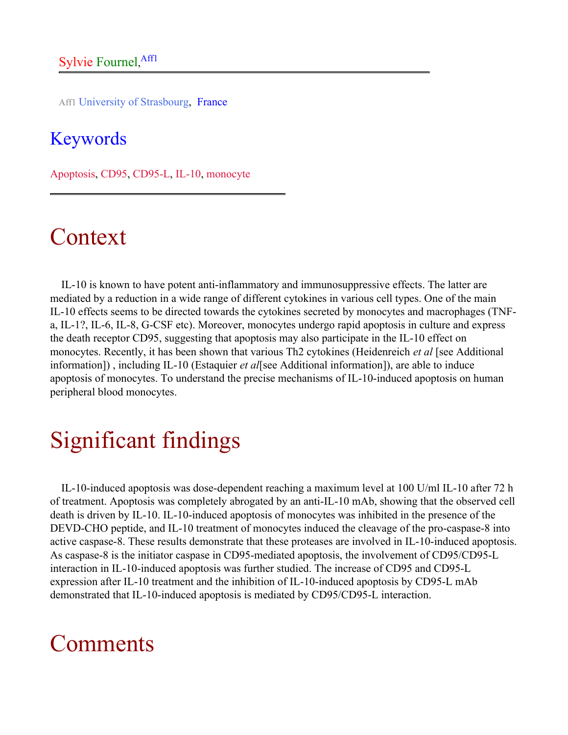Aff1 University of Strasbourg, France

#### Keywords

Apoptosis, CD95, CD95-L, IL-10, monocyte

## Context

IL-10 is known to have potent anti-inflammatory and immunosuppressive effects. The latter are mediated by a reduction in a wide range of different cytokines in various cell types. One of the main IL-10 effects seems to be directed towards the cytokines secreted by monocytes and macrophages (TNFa, IL-1?, IL-6, IL-8, G-CSF etc). Moreover, monocytes undergo rapid apoptosis in culture and express the death receptor CD95, suggesting that apoptosis may also participate in the IL-10 effect on monocytes. Recently, it has been shown that various Th2 cytokines (Heidenreich *et al* [see Additional information]) , including IL-10 (Estaquier *et al*[see Additional information]), are able to induce apoptosis of monocytes. To understand the precise mechanisms of IL-10-induced apoptosis on human peripheral blood monocytes.

## Significant findings

IL-10-induced apoptosis was dose-dependent reaching a maximum level at 100 U/ml IL-10 after 72 h of treatment. Apoptosis was completely abrogated by an anti-IL-10 mAb, showing that the observed cell death is driven by IL-10. IL-10-induced apoptosis of monocytes was inhibited in the presence of the DEVD-CHO peptide, and IL-10 treatment of monocytes induced the cleavage of the pro-caspase-8 into active caspase-8. These results demonstrate that these proteases are involved in IL-10-induced apoptosis. As caspase-8 is the initiator caspase in CD95-mediated apoptosis, the involvement of CD95/CD95-L interaction in IL-10-induced apoptosis was further studied. The increase of CD95 and CD95-L expression after IL-10 treatment and the inhibition of IL-10-induced apoptosis by CD95-L mAb demonstrated that IL-10-induced apoptosis is mediated by CD95/CD95-L interaction.

#### Comments